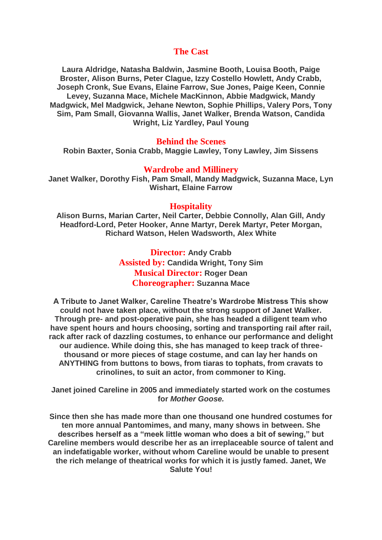## **The Cast**

**Laura Aldridge, Natasha Baldwin, Jasmine Booth, Louisa Booth, Paige Broster, Alison Burns, Peter Clague, Izzy Costello Howlett, Andy Crabb, Joseph Cronk, Sue Evans, Elaine Farrow, Sue Jones, Paige Keen, Connie Levey, Suzanna Mace, Michele MacKinnon, Abbie Madgwick, Mandy Madgwick, Mel Madgwick, Jehane Newton, Sophie Phillips, Valery Pors, Tony Sim, Pam Small, Giovanna Wallis, Janet Walker, Brenda Watson, Candida Wright, Liz Yardley, Paul Young**

## **Behind the Scenes**

**Robin Baxter, Sonia Crabb, Maggie Lawley, Tony Lawley, Jim Sissens**

## **Wardrobe and Millinery**

**Janet Walker, Dorothy Fish, Pam Small, Mandy Madgwick, Suzanna Mace, Lyn Wishart, Elaine Farrow**

## **Hospitality**

**Alison Burns, Marian Carter, Neil Carter, Debbie Connolly, Alan Gill, Andy Headford-Lord, Peter Hooker, Anne Martyr, Derek Martyr, Peter Morgan, Richard Watson, Helen Wadsworth, Alex White**

> **Director: Andy Crabb Assisted by: Candida Wright, Tony Sim Musical Director: Roger Dean Choreographer: Suzanna Mace**

**A Tribute to Janet Walker, Careline Theatre's Wardrobe Mistress This show could not have taken place, without the strong support of Janet Walker. Through pre- and post-operative pain, she has headed a diligent team who have spent hours and hours choosing, sorting and transporting rail after rail, rack after rack of dazzling costumes, to enhance our performance and delight our audience. While doing this, she has managed to keep track of threethousand or more pieces of stage costume, and can lay her hands on ANYTHING from buttons to bows, from tiaras to tophats, from cravats to crinolines, to suit an actor, from commoner to King.**

**Janet joined Careline in 2005 and immediately started work on the costumes for** *Mother Goose.*

**Since then she has made more than one thousand one hundred costumes for ten more annual Pantomimes, and many, many shows in between. She describes herself as a "meek little woman who does a bit of sewing," but Careline members would describe her as an irreplaceable source of talent and an indefatigable worker, without whom Careline would be unable to present the rich melange of theatrical works for which it is justly famed. Janet, We Salute You!**